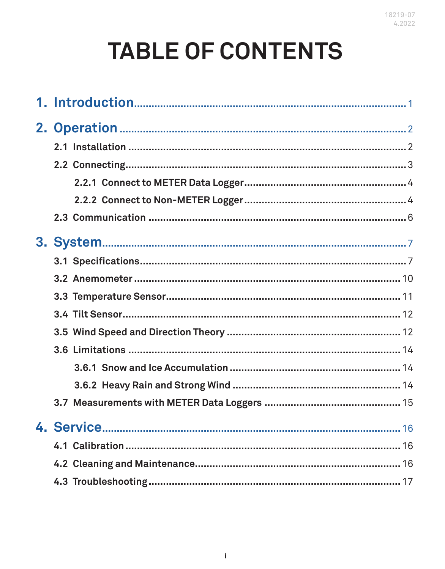# **TABLE OF CONTENTS**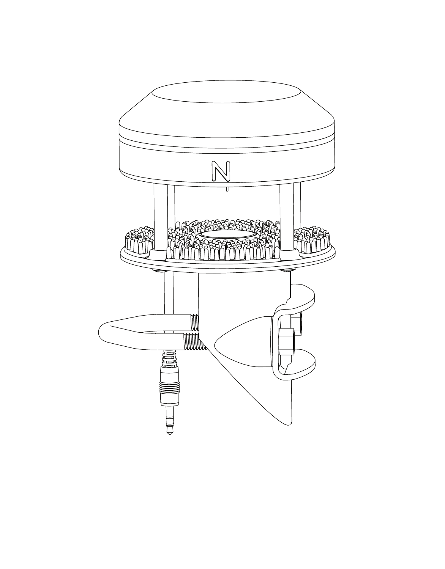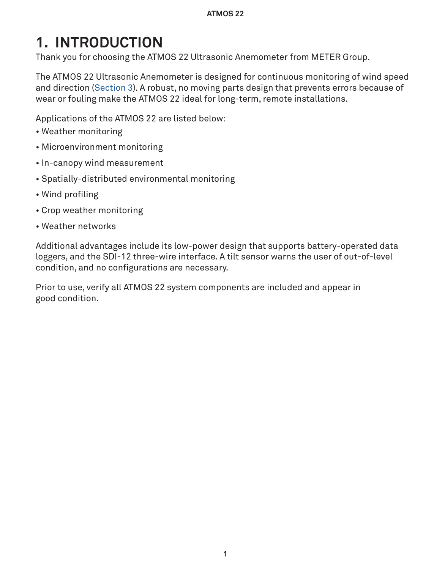## <span id="page-4-0"></span>**1. INTRODUCTION**

Thank you for choosing the ATMOS 22 Ultrasonic Anemometer from METER Group.

The ATMOS 22 Ultrasonic Anemometer is designed for continuous monitoring of wind speed and direction ([Section 3](#page-10-1)). A robust, no moving parts design that prevents errors because of wear or fouling make the ATMOS 22 ideal for long-term, remote installations.

Applications of the ATMOS 22 are listed below:

- Weather monitoring
- Microenvironment monitoring
- In-canopy wind measurement
- Spatially-distributed environmental monitoring
- Wind profiling
- Crop weather monitoring
- Weather networks

Additional advantages include its low-power design that supports battery-operated data loggers, and the SDI-12 three-wire interface. A tilt sensor warns the user of out-of-level condition, and no configurations are necessary.

Prior to use, verify all ATMOS 22 system components are included and appear in good condition.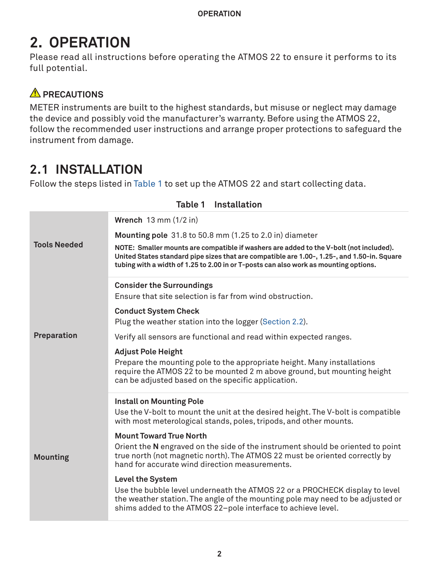## <span id="page-5-0"></span>**2. OPERATION**

Please read all instructions before operating the ATMOS 22 to ensure it performs to its full potential.

### **A** PRECAUTIONS

METER instruments are built to the highest standards, but misuse or neglect may damage the device and possibly void the manufacturer's warranty. Before using the ATMOS 22, follow the recommended user instructions and arrange proper protections to safeguard the instrument from damage.

<span id="page-5-1"></span>**Table 1 Installation**

### **2.1 INSTALLATION**

Follow the steps listed in [Table 1](#page-5-1) to set up the ATMOS 22 and start collecting data.

|                     | Wrench $13 \text{ mm}$ ( $1/2 \text{ in}$ )                                                                                                                                                                                                                                   |
|---------------------|-------------------------------------------------------------------------------------------------------------------------------------------------------------------------------------------------------------------------------------------------------------------------------|
|                     | <b>Mounting pole</b> $31.8$ to $50.8$ mm $(1.25$ to $2.0$ in) diameter                                                                                                                                                                                                        |
| <b>Tools Needed</b> | NOTE: Smaller mounts are compatible if washers are added to the V-bolt (not included).<br>United States standard pipe sizes that are compatible are 1.00-, 1.25-, and 1.50-in. Square<br>tubing with a width of 1.25 to 2.00 in or T-posts can also work as mounting options. |
|                     | <b>Consider the Surroundings</b><br>Ensure that site selection is far from wind obstruction.                                                                                                                                                                                  |
|                     | <b>Conduct System Check</b>                                                                                                                                                                                                                                                   |
|                     | Plug the weather station into the logger (Section 2.2).                                                                                                                                                                                                                       |
| Preparation         | Verify all sensors are functional and read within expected ranges.                                                                                                                                                                                                            |
|                     | <b>Adjust Pole Height</b><br>Prepare the mounting pole to the appropriate height. Many installations<br>require the ATMOS 22 to be mounted 2 m above ground, but mounting height<br>can be adjusted based on the specific application.                                        |
|                     | <b>Install on Mounting Pole</b><br>Use the V-bolt to mount the unit at the desired height. The V-bolt is compatible<br>with most meterological stands, poles, tripods, and other mounts.                                                                                      |
| <b>Mounting</b>     | <b>Mount Toward True North</b><br>Orient the N engraved on the side of the instrument should be oriented to point<br>true north (not magnetic north). The ATMOS 22 must be oriented correctly by<br>hand for accurate wind direction measurements.                            |
|                     | Level the System<br>Use the bubble level underneath the ATMOS 22 or a PROCHECK display to level<br>the weather station. The angle of the mounting pole may need to be adjusted or<br>shims added to the ATMOS 22-pole interface to achieve level.                             |

**2**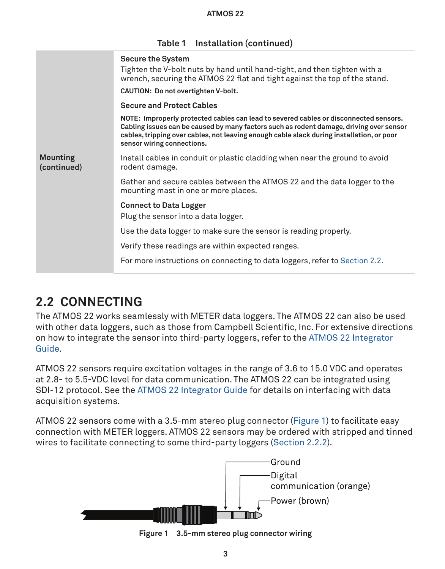<span id="page-6-0"></span>

|                                | <b>Secure the System</b><br>Tighten the V-bolt nuts by hand until hand-tight, and then tighten with a<br>wrench, securing the ATMOS 22 flat and tight against the top of the stand.<br>CAUTION: Do not overtighten V-bolt.                                                                                  |
|--------------------------------|-------------------------------------------------------------------------------------------------------------------------------------------------------------------------------------------------------------------------------------------------------------------------------------------------------------|
|                                | <b>Secure and Protect Cables</b>                                                                                                                                                                                                                                                                            |
|                                | NOTE: Improperly protected cables can lead to severed cables or disconnected sensors.<br>Cabling issues can be caused by many factors such as rodent damage, driving over sensor<br>cables, tripping over cables, not leaving enough cable slack during installation, or poor<br>sensor wiring connections. |
| <b>Mounting</b><br>(continued) | Install cables in conduit or plastic cladding when near the ground to avoid<br>rodent damage.                                                                                                                                                                                                               |
|                                | Gather and secure cables between the ATMOS 22 and the data logger to the<br>mounting mast in one or more places.                                                                                                                                                                                            |
|                                | <b>Connect to Data Logger</b><br>Plug the sensor into a data logger.                                                                                                                                                                                                                                        |
|                                | Use the data logger to make sure the sensor is reading properly.                                                                                                                                                                                                                                            |
|                                | Verify these readings are within expected ranges.                                                                                                                                                                                                                                                           |
|                                | For more instructions on connecting to data loggers, refer to Section 2.2.                                                                                                                                                                                                                                  |
|                                |                                                                                                                                                                                                                                                                                                             |

#### **Table 1 Installation (continued)**

### **2.2 CONNECTING**

The ATMOS 22 works seamlessly with METER data loggers. The ATMOS 22 can also be used with other data loggers, such as those from Campbell Scientific, Inc. For extensive directions on how to integrate the sensor into third-party loggers, refer to the [ATMOS 22 Integrator](http://www.metergroup.com/atmos22-support)  [Guide.](http://www.metergroup.com/atmos22-support)

ATMOS 22 sensors require excitation voltages in the range of 3.6 to 15.0 VDC and operates at 2.8- to 5.5-VDC level for data communication. The ATMOS 22 can be integrated using SDI-12 protocol. See the [ATMOS 22 Integrator Guide](http://www.metergroup.com/atmos22-support) for details on interfacing with data acquisition systems.

ATMOS 22 sensors come with a 3.5-mm stereo plug connector ([Figure 1\)](#page-6-1) to facilitate easy connection with METER loggers. ATMOS 22 sensors may be ordered with stripped and tinned wires to facilitate connecting to some third-party loggers [\(Section 2.2.2\)](#page-7-1).



<span id="page-6-1"></span>**Figure 1 3.5-mm stereo plug connector wiring**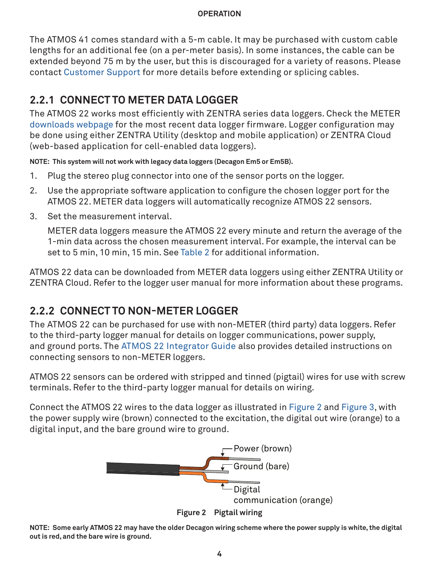#### **Operation**

<span id="page-7-0"></span>The ATMOS 41 comes standard with a 5-m cable. It may be purchased with custom cable lengths for an additional fee (on a per-meter basis). In some instances, the cable can be extended beyond 75 m by the user, but this is discouraged for a variety of reasons. Please contact Customer Support for more details before extending or splicing cables.

### **2.2.1 CONNECT TO METER DATA LOGGER**

The ATMOS 22 works most efficiently with ZENTRA series data loggers. Check the METER [downloads webpage](https://www.metergroup.com/downloads) for the most recent data logger firmware. Logger configuration may be done using either ZENTRA Utility (desktop and mobile application) or ZENTRA Cloud (web-based application for cell-enabled data loggers).

**NOTE: This system will not work with legacy data loggers (Decagon Em5 or Em5B).**

- 1. Plug the stereo plug connector into one of the sensor ports on the logger.
- 2. Use the appropriate software application to configure the chosen logger port for the ATMOS 22. METER data loggers will automatically recognize ATMOS 22 sensors.
- 3. Set the measurement interval.

METER data loggers measure the ATMOS 22 every minute and return the average of the 1-min data across the chosen measurement interval. For example, the interval can be set to 5 min, 10 min, 15 min. See [Table 2](#page-18-1) for additional information.

ATMOS 22 data can be downloaded from METER data loggers using either ZENTRA Utility or ZENTRA Cloud. Refer to the logger user manual for more information about these programs.

### <span id="page-7-1"></span>**2.2.2 CONNECT TO NON-METER LOGGER**

The ATMOS 22 can be purchased for use with non-METER (third party) data loggers. Refer to the third-party logger manual for details on logger communications, power supply, and ground ports. The [ATMOS 22 Integrator Guide](https://www.metergroup.com/environment/products/atmos-22-sonic-anemometer/#support) also provides detailed instructions on connecting sensors to non-METER loggers.

ATMOS 22 sensors can be ordered with stripped and tinned (pigtail) wires for use with screw terminals. Refer to the third-party logger manual for details on wiring.

Connect the ATMOS 22 wires to the data logger as illustrated in [Figure 2](#page-7-2) and [Figure 3,](#page-8-0) with the power supply wire (brown) connected to the excitation, the digital out wire (orange) to a digital input, and the bare ground wire to ground.



<span id="page-7-2"></span>

**NOTE: Some early ATMOS 22 may have the older Decagon wiring scheme where the power supply is white, the digital out is red, and the bare wire is ground.**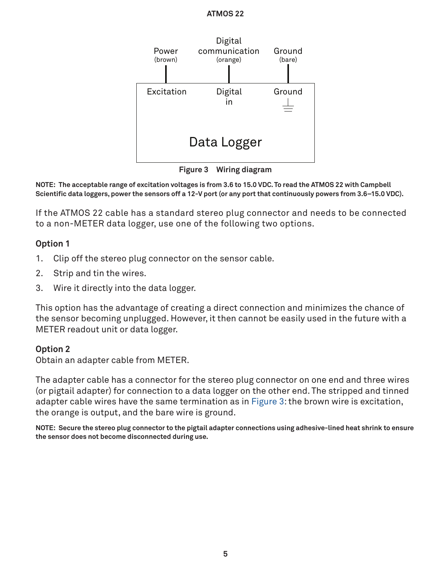

<span id="page-8-1"></span>

<span id="page-8-0"></span>**Figure 3 Wiring diagram**

**NOTE: The acceptable range of excitation voltages is from 3.6 to 15.0 VDC. To read the ATMOS 22 with Campbell Scientific data loggers, power the sensors off a 12-V port (or any port that continuously powers from 3.6–15.0 VDC).**

If the ATMOS 22 cable has a standard stereo plug connector and needs to be connected to a non-METER data logger, use one of the following two options.

### **Option 1**

- 1. Clip off the stereo plug connector on the sensor cable.
- 2. Strip and tin the wires.
- 3. Wire it directly into the data logger.

This option has the advantage of creating a direct connection and minimizes the chance of the sensor becoming unplugged. However, it then cannot be easily used in the future with a METER readout unit or data logger.

#### **Option 2**

Obtain an adapter cable from METER.

The adapter cable has a connector for the stereo plug connector on one end and three wires (or pigtail adapter) for connection to a data logger on the other end. The stripped and tinned adapter cable wires have the same termination as in [Figure 3](#page-8-0): the brown wire is excitation, the orange is output, and the bare wire is ground.

**NOTE: Secure the stereo plug connector to the pigtail adapter connections using adhesive-lined heat shrink to ensure the sensor does not become disconnected during use.**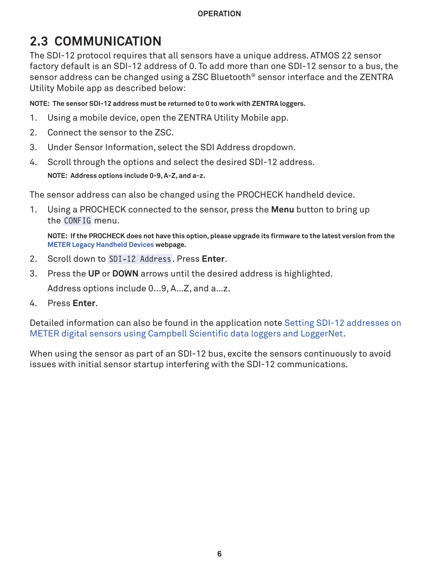### <span id="page-9-0"></span>**2.3 COMMUNICATION**

The SDI-12 protocol requires that all sensors have a unique address. ATMOS 22 sensor factory default is an SDI-12 address of 0. To add more than one SDI-12 sensor to a bus, the sensor address can be changed using a ZSC Bluetooth<sup>®</sup> sensor interface and the ZENTRA Utility Mobile app as described below:

**NOTE: The sensor SDI-12 address must be returned to 0 to work with ZENTRA loggers.** 

- 1. Using a mobile device, open the ZENTRA Utility Mobile app.
- 2. Connect the sensor to the ZSC.
- 3. Under Sensor Information, select the SDI Address dropdown.
- 4. Scroll through the options and select the desired SDI-12 address. **NOTE: Address options include 0-9, A-Z, and a-z.**

The sensor address can also be changed using the PROCHECK handheld device.

1. Using a PROCHECK connected to the sensor, press the **Menu** button to bring up the CONFIG menu.

**NOTE: If the PROCHECK does not have this option, please upgrade its firmware to the latest version from the [METER Legacy Handheld Devices](https://www.metergroup.com/environment/articles/buy-browse-meter-legacy-handheld-devices/) webpage.**

- 2. Scroll down to SDI-12 Address . Press **Enter**.
- 3. Press the **UP** or **DOWN** arrows until the desired address is highlighted. Address options include 0...9, A…Z, and a…z.
- 4. Press **Enter**.

Detailed information can also be found in the application note [Setting SDI-12 addresses on](https://www.metergroup.com/environment/articles/setting-addresses-using-campbell-scientific-data-loggers/)  [METER digital sensors using Campbell Scientific data loggers and LoggerNet.](https://www.metergroup.com/environment/articles/setting-addresses-using-campbell-scientific-data-loggers/)

When using the sensor as part of an SDI-12 bus, excite the sensors continuously to avoid issues with initial sensor startup interfering with the SDI-12 communications.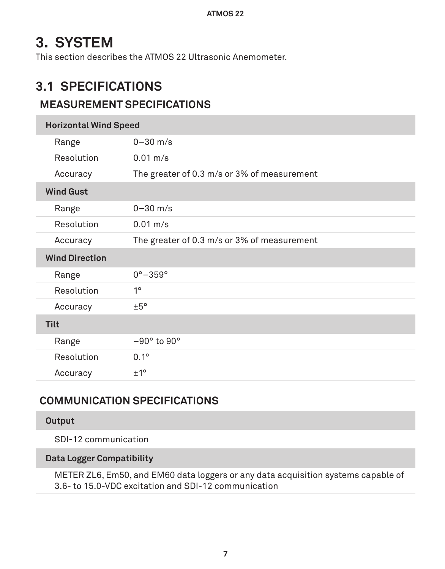## <span id="page-10-1"></span><span id="page-10-0"></span>**3. SYSTEM**

This section describes the ATMOS 22 Ultrasonic Anemometer.

### **3.1 SPECIFICATIONS**

### **MEASUREMENT SPECIFICATIONS**

| <b>Horizontal Wind Speed</b> |                                             |  |
|------------------------------|---------------------------------------------|--|
| Range                        | $0 - 30$ m/s                                |  |
| Resolution                   | $0.01 \text{ m/s}$                          |  |
| Accuracy                     | The greater of 0.3 m/s or 3% of measurement |  |
| <b>Wind Gust</b>             |                                             |  |
| Range                        | $0 - 30$ m/s                                |  |
| Resolution                   | $0.01 \text{ m/s}$                          |  |
| Accuracy                     | The greater of 0.3 m/s or 3% of measurement |  |
| <b>Wind Direction</b>        |                                             |  |
|                              |                                             |  |
| Range                        | $0^{\circ} - 359^{\circ}$                   |  |
| Resolution                   | $1^{\circ}$                                 |  |
| Accuracy                     | ±5°                                         |  |
| <b>Tilt</b>                  |                                             |  |
| Range                        | $-90^\circ$ to $90^\circ$                   |  |
| Resolution                   | $0.1^{\circ}$                               |  |

### **COMMUNICATION SPECIFICATIONS**

#### **Output**

SDI-12 communication

#### **Data Logger Compatibility**

METER ZL6, Em50, and EM60 data loggers or any data acquisition systems capable of 3.6- to 15.0-VDC excitation and SDI-12 communication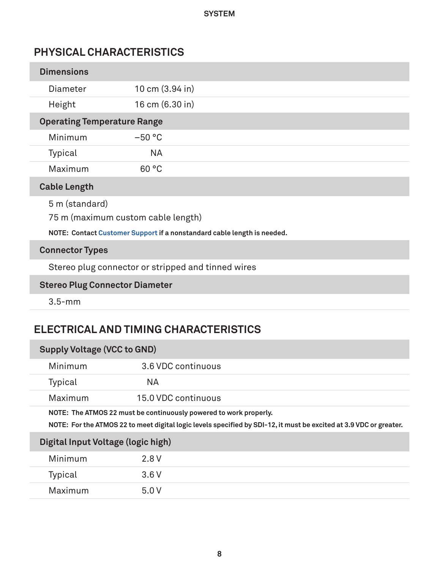### <span id="page-11-0"></span>**PHYSICAL CHARACTERISTICS**

| <b>Dimensions</b>                                                                                                               |                 |  |  |
|---------------------------------------------------------------------------------------------------------------------------------|-----------------|--|--|
| Diameter                                                                                                                        | 10 cm (3.94 in) |  |  |
| Height                                                                                                                          | 16 cm (6.30 in) |  |  |
| <b>Operating Temperature Range</b>                                                                                              |                 |  |  |
| Minimum                                                                                                                         | $-50 °C$        |  |  |
| Typical                                                                                                                         | NA              |  |  |
| Maximum                                                                                                                         | 60 °C           |  |  |
| <b>Cable Length</b>                                                                                                             |                 |  |  |
| 5 m (standard)<br>75 m (maximum custom cable length)<br>NOTE: Contact Customer Support if a nonstandard cable length is needed. |                 |  |  |
| <b>Connector Types</b>                                                                                                          |                 |  |  |
| Stereo plug connector or stripped and tinned wires                                                                              |                 |  |  |
| <b>Stereo Plug Connector Diameter</b>                                                                                           |                 |  |  |
| $3.5 - mm$                                                                                                                      |                 |  |  |
|                                                                                                                                 |                 |  |  |

### **ELECTRICAL AND TIMING CHARACTERISTICS**

| Supply Voltage (VCC to GND)        |                                                                                                                                                                                         |  |  |
|------------------------------------|-----------------------------------------------------------------------------------------------------------------------------------------------------------------------------------------|--|--|
| Minimum                            | 3.6 VDC continuous                                                                                                                                                                      |  |  |
| Typical                            | NA.                                                                                                                                                                                     |  |  |
| Maximum                            | 15.0 VDC continuous                                                                                                                                                                     |  |  |
|                                    | NOTE: The ATMOS 22 must be continuously powered to work properly.<br>NOTE: For the ATMOS 22 to meet digital logic levels specified by SDI-12, it must be excited at 3.9 VDC or greater. |  |  |
| Digital Input Voltage (logic high) |                                                                                                                                                                                         |  |  |
| Minimum                            | 2.8 V                                                                                                                                                                                   |  |  |
| Typical                            | 3.6V                                                                                                                                                                                    |  |  |
| Maximum                            | 5.0V                                                                                                                                                                                    |  |  |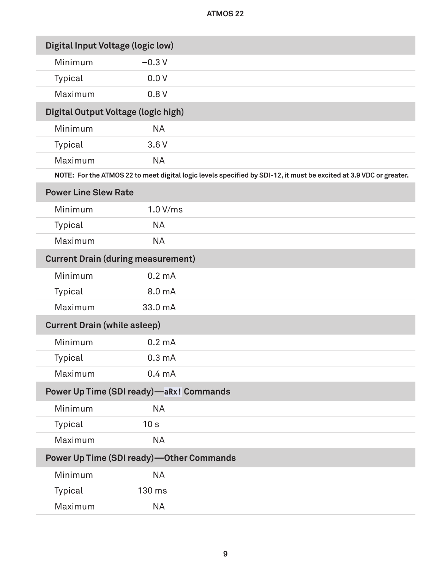#### **ATMOS 22**

<span id="page-12-0"></span>

| Digital Input Voltage (logic low)       |                                           |                                                                                                                    |  |
|-----------------------------------------|-------------------------------------------|--------------------------------------------------------------------------------------------------------------------|--|
| Minimum                                 | $-0.3V$                                   |                                                                                                                    |  |
| Typical                                 | 0.0V                                      |                                                                                                                    |  |
| Maximum                                 | 0.8V                                      |                                                                                                                    |  |
| Digital Output Voltage (logic high)     |                                           |                                                                                                                    |  |
| Minimum                                 | ΝA                                        |                                                                                                                    |  |
| Typical                                 | 3.6V                                      |                                                                                                                    |  |
| Maximum                                 | <b>NA</b>                                 |                                                                                                                    |  |
|                                         |                                           | NOTE: For the ATMOS 22 to meet digital logic levels specified by SDI-12, it must be excited at 3.9 VDC or greater. |  |
| <b>Power Line Slew Rate</b>             |                                           |                                                                                                                    |  |
| Minimum                                 | 1.0 V/ms                                  |                                                                                                                    |  |
| Typical                                 | <b>NA</b>                                 |                                                                                                                    |  |
| Maximum                                 | NA.                                       |                                                                                                                    |  |
|                                         | <b>Current Drain (during measurement)</b> |                                                                                                                    |  |
| Minimum                                 | $0.2 \text{ mA}$                          |                                                                                                                    |  |
| Typical                                 | 8.0 <sub>m</sub> A                        |                                                                                                                    |  |
| Maximum                                 | 33.0 mA                                   |                                                                                                                    |  |
| <b>Current Drain (while asleep)</b>     |                                           |                                                                                                                    |  |
| Minimum                                 | $0.2 \text{ mA}$                          |                                                                                                                    |  |
| Typical                                 | $0.3 \text{ mA}$                          |                                                                                                                    |  |
| Maximum                                 | $0.4 \text{ mA}$                          |                                                                                                                    |  |
| Power Up Time (SDI ready)-aRx! Commands |                                           |                                                                                                                    |  |
| Minimum                                 | <b>NA</b>                                 |                                                                                                                    |  |
| Typical                                 | 10 <sub>s</sub>                           |                                                                                                                    |  |
| Maximum                                 | <b>NA</b>                                 |                                                                                                                    |  |
|                                         | Power Up Time (SDI ready)-Other Commands  |                                                                                                                    |  |
| Minimum                                 | NА                                        |                                                                                                                    |  |
| Typical                                 | 130 ms                                    |                                                                                                                    |  |
| Maximum                                 | <b>NA</b>                                 |                                                                                                                    |  |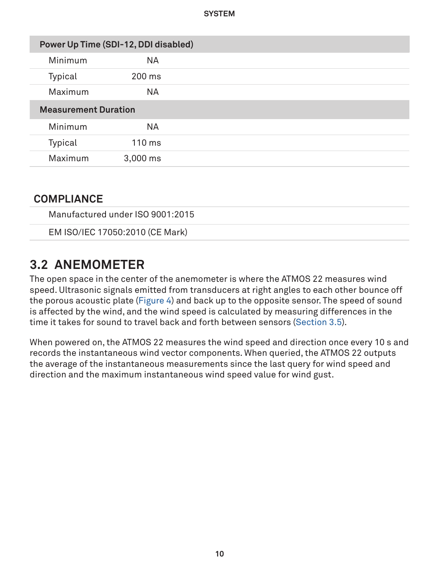<span id="page-13-0"></span>

| Power Up Time (SDI-12, DDI disabled) |                  |  |
|--------------------------------------|------------------|--|
| Minimum                              | ΝA               |  |
| Typical                              | $200 \text{ ms}$ |  |
| Maximum                              | ΝA               |  |
| <b>Measurement Duration</b>          |                  |  |
| Minimum                              | NA.              |  |
| Typical                              | $110 \text{ ms}$ |  |
| Maximum                              | 3,000 ms         |  |

### **COMPLIANCE**

Manufactured under ISO 9001:2015

EM ISO/IEC 17050:2010 (CE Mark)

### **3.2 ANEMOMETER**

The open space in the center of the anemometer is where the ATMOS 22 measures wind speed. Ultrasonic signals emitted from transducers at right angles to each other bounce off the porous acoustic plate [\(Figure 4](#page-14-1)) and back up to the opposite sensor. The speed of sound is affected by the wind, and the wind speed is calculated by measuring differences in the time it takes for sound to travel back and forth between sensors [\(Section](#page-14-0) [3.5\)](#page-15-1).

When powered on, the ATMOS 22 measures the wind speed and direction once every 10 s and records the instantaneous wind vector components. When queried, the ATMOS 22 outputs the average of the instantaneous measurements since the last query for wind speed and direction and the maximum instantaneous wind speed value for wind gust.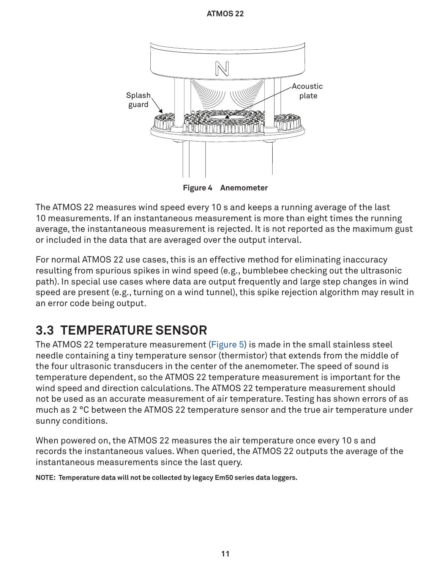#### **ATMOS 22**

<span id="page-14-0"></span>

<span id="page-14-1"></span>**Figure 4 Anemometer**

The ATMOS 22 measures wind speed every 10 s and keeps a running average of the last 10 measurements. If an instantaneous measurement is more than eight times the running average, the instantaneous measurement is rejected. It is not reported as the maximum gust or included in the data that are averaged over the output interval.

For normal ATMOS 22 use cases, this is an effective method for eliminating inaccuracy resulting from spurious spikes in wind speed (e.g., bumblebee checking out the ultrasonic path). In special use cases where data are output frequently and large step changes in wind speed are present (e.g., turning on a wind tunnel), this spike rejection algorithm may result in an error code being output.

## **3.3 TEMPERATURE SENSOR**

The ATMOS 22 temperature measurement ([Figure 5\)](#page-15-2) is made in the small stainless steel needle containing a tiny temperature sensor (thermistor) that extends from the middle of the four ultrasonic transducers in the center of the anemometer. The speed of sound is temperature dependent, so the ATMOS 22 temperature measurement is important for the wind speed and direction calculations. The ATMOS 22 temperature measurement should not be used as an accurate measurement of air temperature. Testing has shown errors of as much as 2 °C between the ATMOS 22 temperature sensor and the true air temperature under sunny conditions.

When powered on, the ATMOS 22 measures the air temperature once every 10 s and records the instantaneous values. When queried, the ATMOS 22 outputs the average of the instantaneous measurements since the last query.

**NOTE: Temperature data will not be collected by legacy Em50 series data loggers.**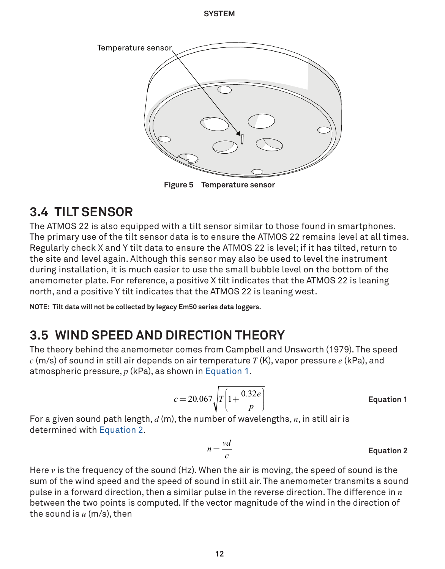**System**

<span id="page-15-0"></span>

<span id="page-15-2"></span>**Figure 5 Temperature sensor**

### **3.4 TILT SENSOR**

The ATMOS 22 is also equipped with a tilt sensor similar to those found in smartphones. The primary use of the tilt sensor data is to ensure the ATMOS 22 remains level at all times. Regularly check X and Y tilt data to ensure the ATMOS 22 is level; if it has tilted, return to the site and level again. Although this sensor may also be used to level the instrument during installation, it is much easier to use the small bubble level on the bottom of the anemometer plate. For reference, a positive X tilt indicates that the ATMOS 22 is leaning north, and a positive Y tilt indicates that the ATMOS 22 is leaning west.

**NOTE: Tilt data will not be collected by legacy Em50 series data loggers.**

### <span id="page-15-1"></span>**3.5 WIND SPEED AND DIRECTION THEORY**

The theory behind the anemometer comes from Campbell and Unsworth (1979). The speed  $c$  (m/s) of sound in still air depends on air temperature  $T$  (K), vapor pressure  $e$  (kPa), and atmospheric pressure, *p* (kPa), as shown in [Equation 1](#page-15-3).

$$
c = 20.067 \sqrt{T \left( 1 + \frac{0.32e}{p} \right)}
$$
 Equation 1

<span id="page-15-4"></span><span id="page-15-3"></span>

For a given sound path length, *d* (m), the number of wavelengths, *n*, in still air is determined with [Equation 2.](#page-15-4)

 $n = \frac{vd}{c}$  **Equation 2** 

Here *v* is the frequency of the sound (Hz). When the air is moving, the speed of sound is the sum of the wind speed and the speed of sound in still air. The anemometer transmits a sound pulse in a forward direction, then a similar pulse in the reverse direction. The difference in *n* between the two points is computed. If the vector magnitude of the wind in the direction of the sound is *u* (m/s), then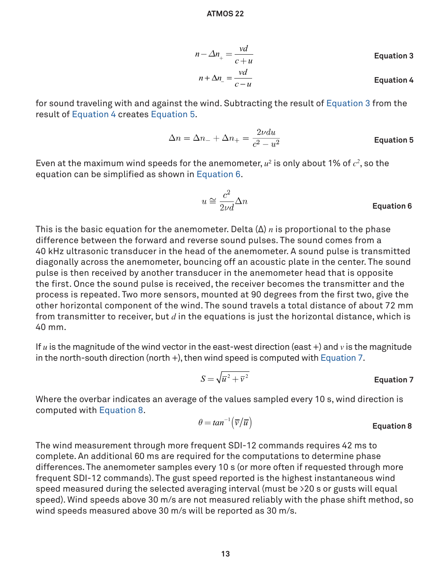#### <span id="page-16-1"></span><span id="page-16-0"></span>**ATMOS 22**

$$
n - \Delta n_{+} = \frac{vd}{c + u}
$$
 Equation 3  

$$
n + \Delta n_{-} = \frac{vd}{c - u}
$$
Equation 4

<span id="page-16-6"></span>for sound traveling with and against the wind. Subtracting the result of [Equation 3](#page-16-0) from the result of [Equation 4](#page-16-1) creates [Equation 5](#page-16-2).

$$
\Delta n = \Delta n_- + \Delta n_+ = \frac{2\nu du}{c^2 - u^2}
$$
 Equation 5

Even at the maximum wind speeds for the anemometer,  $u^2$  is only about 1% of  $c^2$ , so the equation can be simplified as shown in [Equation 6](#page-16-3).

<span id="page-16-3"></span><span id="page-16-2"></span>
$$
u \cong \frac{c^2}{2\nu d} \Delta n
$$
 **Equation 6**

This is the basic equation for the anemometer. Delta (∆) *n* is proportional to the phase difference between the forward and reverse sound pulses. The sound comes from a 40 kHz ultrasonic transducer in the head of the anemometer. A sound pulse is transmitted diagonally across the anemometer, bouncing off an acoustic plate in the center. The sound pulse is then received by another transducer in the anemometer head that is opposite the first. Once the sound pulse is received, the receiver becomes the transmitter and the process is repeated. Two more sensors, mounted at 90 degrees from the first two, give the other horizontal component of the wind. The sound travels a total distance of about 72 mm from transmitter to receiver, but *d* in the equations is just the horizontal distance, which is 40 mm.

If  $u$  is the magnitude of the wind vector in the east-west direction (east  $+$ ) and  $v$  is the magnitude in the north-south direction (north +), then wind speed is computed with [Equation 7.](#page-16-4)

<span id="page-16-5"></span><span id="page-16-4"></span>
$$
S = \sqrt{\overline{u}^2 + \overline{v}^2}
$$
 Equation 7

Where the overbar indicates an average of the values sampled every 10 s, wind direction is computed with [Equation 8.](#page-16-5)

$$
\theta = \tan^{-1}\left(\frac{\nabla}{\overline{u}}\right)
$$
 **Equation 8**

The wind measurement through more frequent SDI-12 commands requires 42 ms to complete. An additional 60 ms are required for the computations to determine phase differences. The anemometer samples every 10 s (or more often if requested through more frequent SDI-12 commands). The gust speed reported is the highest instantaneous wind speed measured during the selected averaging interval (must be >20 s or gusts will equal speed). Wind speeds above 30 m/s are not measured reliably with the phase shift method, so wind speeds measured above 30 m/s will be reported as 30 m/s.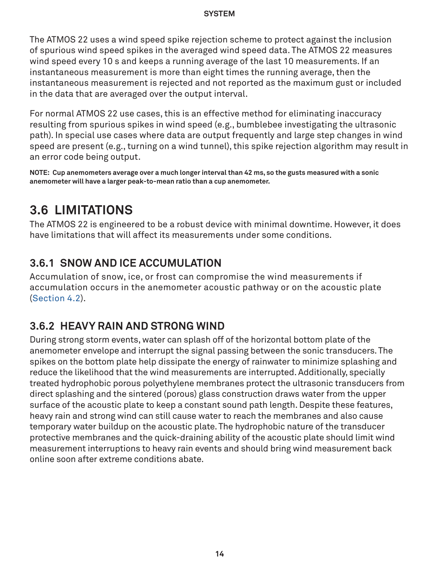#### **System**

<span id="page-17-0"></span>The ATMOS 22 uses a wind speed spike rejection scheme to protect against the inclusion of spurious wind speed spikes in the averaged wind speed data. The ATMOS 22 measures wind speed every 10 s and keeps a running average of the last 10 measurements. If an instantaneous measurement is more than eight times the running average, then the instantaneous measurement is rejected and not reported as the maximum gust or included in the data that are averaged over the output interval.

For normal ATMOS 22 use cases, this is an effective method for eliminating inaccuracy resulting from spurious spikes in wind speed (e.g., bumblebee investigating the ultrasonic path). In special use cases where data are output frequently and large step changes in wind speed are present (e.g., turning on a wind tunnel), this spike rejection algorithm may result in an error code being output.

**NOTE: Cup anemometers average over a much longer interval than 42 ms, so the gusts measured with a sonic anemometer will have a larger peak-to-mean ratio than a cup anemometer.**

### **3.6 LIMITATIONS**

The ATMOS 22 is engineered to be a robust device with minimal downtime. However, it does have limitations that will affect its measurements under some conditions.

### **3.6.1 SNOW AND ICE ACCUMULATION**

Accumulation of snow, ice, or frost can compromise the wind measurements if accumulation occurs in the anemometer acoustic pathway or on the acoustic plate ([Section 4.2](#page-19-1)).

### **3.6.2 HEAVY RAIN AND STRONG WIND**

During strong storm events, water can splash off of the horizontal bottom plate of the anemometer envelope and interrupt the signal passing between the sonic transducers. The spikes on the bottom plate help dissipate the energy of rainwater to minimize splashing and reduce the likelihood that the wind measurements are interrupted. Additionally, specially treated hydrophobic porous polyethylene membranes protect the ultrasonic transducers from direct splashing and the sintered (porous) glass construction draws water from the upper surface of the acoustic plate to keep a constant sound path length. Despite these features, heavy rain and strong wind can still cause water to reach the membranes and also cause temporary water buildup on the acoustic plate. The hydrophobic nature of the transducer protective membranes and the quick-draining ability of the acoustic plate should limit wind measurement interruptions to heavy rain events and should bring wind measurement back online soon after extreme conditions abate.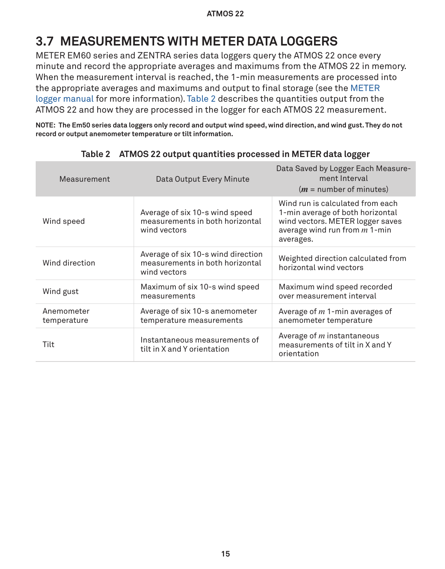### <span id="page-18-0"></span>**3.7 MEASUREMENTS WITH METER DATA LOGGERS**

METER EM60 series and ZENTRA series data loggers query the ATMOS 22 once every minute and record the appropriate averages and maximums from the ATMOS 22 in memory. When the measurement interval is reached, the 1-min measurements are processed into the appropriate averages and maximums and output to final storage (see the [METER](https://www.metergroup.com/environment/downloads/?download_category=manuals)  [logger manual](https://www.metergroup.com/environment/downloads/?download_category=manuals) for more information). [Table 2](#page-18-1) describes the quantities output from the ATMOS 22 and how they are processed in the logger for each ATMOS 22 measurement.

**NOTE: The Em50 series data loggers only record and output wind speed, wind direction, and wind gust. They do not record or output anemometer temperature or tilt information.**

| Measurement               | Data Output Every Minute                                                              | Data Saved by Logger Each Measure-<br>ment Interval<br>$(m =$ number of minutes)                                                                         |
|---------------------------|---------------------------------------------------------------------------------------|----------------------------------------------------------------------------------------------------------------------------------------------------------|
| Wind speed                | Average of six 10-s wind speed<br>measurements in both horizontal<br>wind vectors     | Wind run is calculated from each<br>1-min average of both horizontal<br>wind vectors. METER logger saves<br>average wind run from $m$ 1-min<br>averages. |
| Wind direction            | Average of six 10-s wind direction<br>measurements in both horizontal<br>wind vectors | Weighted direction calculated from<br>horizontal wind vectors                                                                                            |
| Wind gust                 | Maximum of six 10-s wind speed<br>measurements                                        | Maximum wind speed recorded<br>over measurement interval                                                                                                 |
| Anemometer<br>temperature | Average of six 10-s anemometer<br>temperature measurements                            | Average of $m$ 1-min averages of<br>anemometer temperature                                                                                               |
| Tilt                      | Instantaneous measurements of<br>tilt in X and Y orientation                          | Average of $m$ instantaneous<br>measurements of tilt in X and Y<br>orientation                                                                           |

<span id="page-18-1"></span>**Table 2 ATMOS 22 output quantities processed in METER data logger**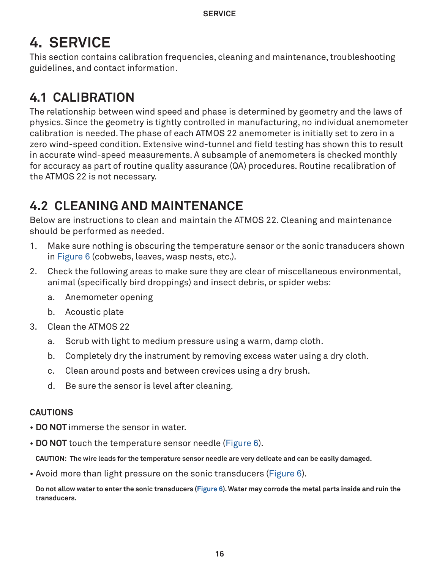## <span id="page-19-0"></span>**4. SERVICE**

This section contains calibration frequencies, cleaning and maintenance, troubleshooting guidelines, and contact information.

### **4.1 CALIBRATION**

The relationship between wind speed and phase is determined by geometry and the laws of physics. Since the geometry is tightly controlled in manufacturing, no individual anemometer calibration is needed. The phase of each ATMOS 22 anemometer is initially set to zero in a zero wind-speed condition. Extensive wind-tunnel and field testing has shown this to result in accurate wind-speed measurements. A subsample of anemometers is checked monthly for accuracy as part of routine quality assurance (QA) procedures. Routine recalibration of the ATMOS 22 is not necessary.

## <span id="page-19-1"></span>**4.2 CLEANING AND MAINTENANCE**

Below are instructions to clean and maintain the ATMOS 22. Cleaning and maintenance should be performed as needed.

- 1. Make sure nothing is obscuring the temperature sensor or the sonic transducers shown in [Figure 6](#page-20-1) (cobwebs, leaves, wasp nests, etc.).
- 2. Check the following areas to make sure they are clear of miscellaneous environmental, animal (specifically bird droppings) and insect debris, or spider webs:
	- a. Anemometer opening
	- b. Acoustic plate
- 3. Clean the ATMOS 22
	- a. Scrub with light to medium pressure using a warm, damp cloth.
	- b. Completely dry the instrument by removing excess water using a dry cloth.
	- c. Clean around posts and between crevices using a dry brush.
	- d. Be sure the sensor is level after cleaning.

#### **CAUTIONS**

- **DO NOT** immerse the sensor in water.
- **DO NOT** touch the temperature sensor needle [\(Figure 6](#page-20-1)).

**CAUTION: The wire leads for the temperature sensor needle are very delicate and can be easily damaged.**

• Avoid more than light pressure on the sonic transducers ([Figure 6](#page-20-1)).

**Do not allow water to enter the sonic transducers [\(Figure 6](#page-20-1)). Water may corrode the metal parts inside and ruin the transducers.**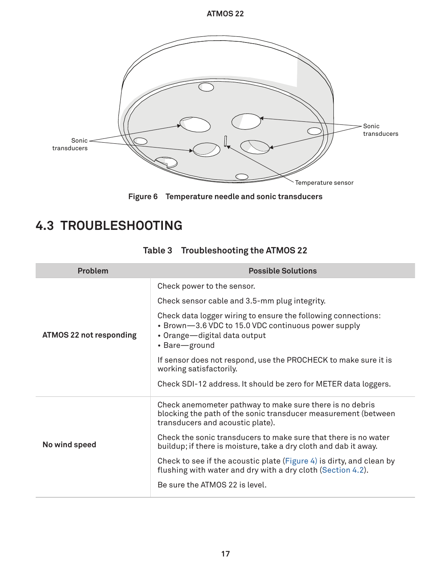#### **ATMOS 22**

<span id="page-20-0"></span>

**Figure 6 Temperature needle and sonic transducers**

### **4.3 TROUBLESHOOTING**

| Problem                 | <b>Possible Solutions</b>                                                                                                                                               |
|-------------------------|-------------------------------------------------------------------------------------------------------------------------------------------------------------------------|
|                         | Check power to the sensor.                                                                                                                                              |
|                         | Check sensor cable and 3.5-mm plug integrity.                                                                                                                           |
| ATMOS 22 not responding | Check data logger wiring to ensure the following connections:<br>• Brown - 3.6 VDC to 15.0 VDC continuous power supply<br>• Orange—digital data output<br>• Bare-ground |
|                         | If sensor does not respond, use the PROCHECK to make sure it is<br>working satisfactorily.                                                                              |
|                         | Check SDI-12 address. It should be zero for METER data loggers.                                                                                                         |
|                         | Check anemometer pathway to make sure there is no debris<br>blocking the path of the sonic transducer measurement (between<br>transducers and acoustic plate).          |
| No wind speed           | Check the sonic transducers to make sure that there is no water<br>buildup; if there is moisture, take a dry cloth and dab it away.                                     |
|                         | Check to see if the acoustic plate (Figure 4) is dirty, and clean by<br>flushing with water and dry with a dry cloth (Section 4.2).                                     |
|                         | Be sure the ATMOS 22 is level.                                                                                                                                          |

### <span id="page-20-1"></span>**Table 3 Troubleshooting the ATMOS 22**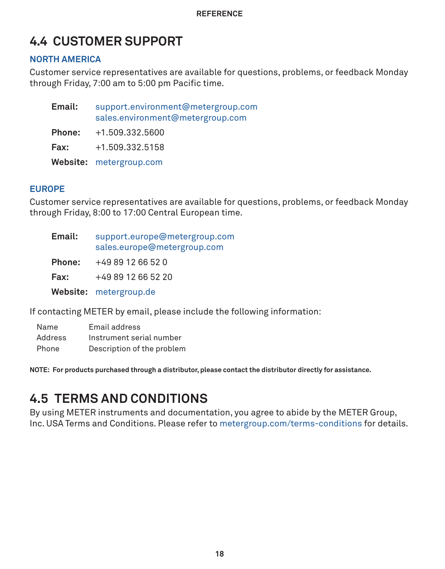### <span id="page-21-1"></span><span id="page-21-0"></span>**4.4 CUSTOMER SUPPORT**

#### **NORTH AMERICA**

Customer service representatives are available for questions, problems, or feedback Monday through Friday, 7:00 am to 5:00 pm Pacific time.

| Email:        | support.environment@metergroup.com<br>sales.environment@metergroup.com |
|---------------|------------------------------------------------------------------------|
| <b>Phone:</b> | +1.509.332.5600                                                        |
| Fax:          | +1.509.332.5158                                                        |
|               | Website: metergroup.com                                                |

#### **EUROPE**

Customer service representatives are available for questions, problems, or feedback Monday through Friday, 8:00 to 17:00 Central European time.

| Email: | support.europe@metergroup.com<br>sales.europe@metergroup.com |
|--------|--------------------------------------------------------------|
| Phone: | +49 89 12 66 52 0                                            |
| Fax:   | +49 89 12 66 52 20                                           |
|        | Website: metergroup.de                                       |

If contacting METER by email, please include the following information:

| Name    | Email address              |
|---------|----------------------------|
| Address | Instrument serial number   |
| Phone   | Description of the problem |

**NOTE: For products purchased through a distributor, please contact the distributor directly for assistance.**

### **4.5 TERMS AND CONDITIONS**

By using METER instruments and documentation, you agree to abide by the METER Group, Inc. USA Terms and Conditions. Please refer to [metergroup.com/terms-conditions](https://www.metergroup.com/terms-conditions) for details.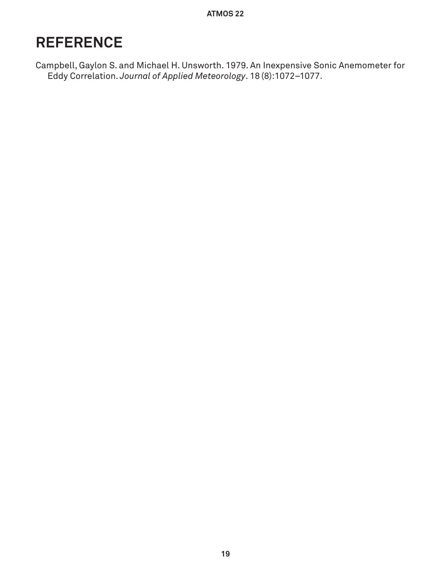## **REFERENCE**

Campbell, Gaylon S. and Michael H. Unsworth. 1979. An Inexpensive Sonic Anemometer for Eddy Correlation. *Journal of Applied Meteorology*. 18 (8):1072–1077.